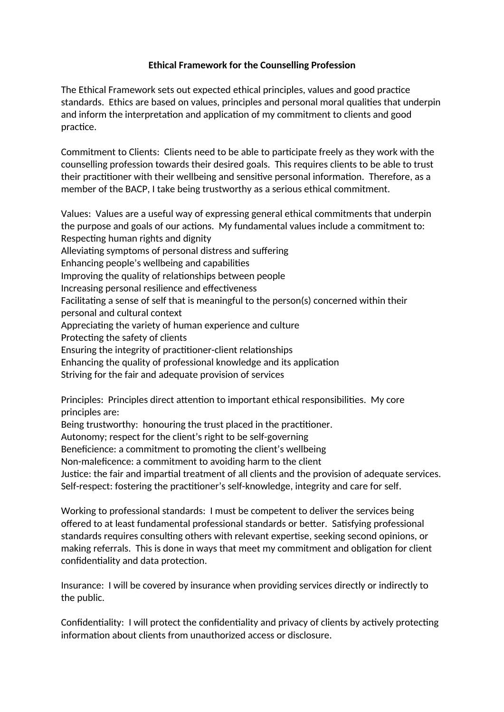## **Ethical Framework for the Counselling Profession**

The Ethical Framework sets out expected ethical principles, values and good practice standards. Ethics are based on values, principles and personal moral qualities that underpin and inform the interpretation and application of my commitment to clients and good practice.

Commitment to Clients: Clients need to be able to participate freely as they work with the counselling profession towards their desired goals. This requires clients to be able to trust their practitioner with their wellbeing and sensitive personal information. Therefore, as a member of the BACP, I take being trustworthy as a serious ethical commitment.

Values: Values are a useful way of expressing general ethical commitments that underpin the purpose and goals of our actions. My fundamental values include a commitment to: Respecting human rights and dignity Alleviating symptoms of personal distress and suffering Enhancing people's wellbeing and capabilities Improving the quality of relationships between people Increasing personal resilience and effectiveness Facilitating a sense of self that is meaningful to the person(s) concerned within their personal and cultural context Appreciating the variety of human experience and culture Protecting the safety of clients Ensuring the integrity of practitioner-client relationships Enhancing the quality of professional knowledge and its application Striving for the fair and adequate provision of services

Principles: Principles direct attention to important ethical responsibilities. My core principles are:

Being trustworthy: honouring the trust placed in the practitioner.

Autonomy; respect for the client's right to be self-governing

Beneficience: a commitment to promoting the client's wellbeing

Non-maleficence: a commitment to avoiding harm to the client

Justice: the fair and impartial treatment of all clients and the provision of adequate services. Self-respect: fostering the practitioner's self-knowledge, integrity and care for self.

Working to professional standards: I must be competent to deliver the services being offered to at least fundamental professional standards or better. Satisfying professional standards requires consulting others with relevant expertise, seeking second opinions, or making referrals. This is done in ways that meet my commitment and obligation for client confidentiality and data protection.

Insurance: I will be covered by insurance when providing services directly or indirectly to the public.

Confidentiality: I will protect the confidentiality and privacy of clients by actively protecting information about clients from unauthorized access or disclosure.